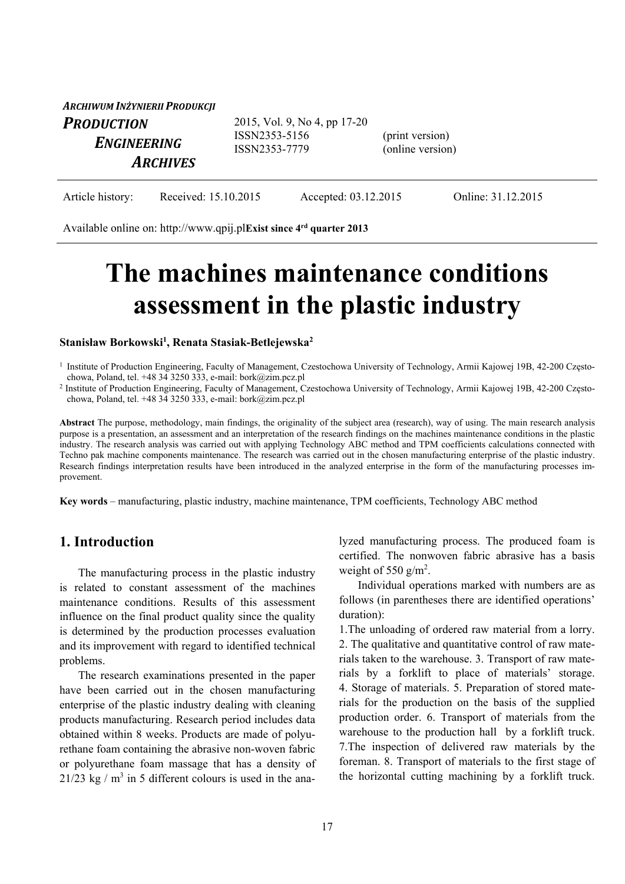| ARCHIWUM INŻYNIERII PRODUKCJI                       |                                                                |                                     |  |
|-----------------------------------------------------|----------------------------------------------------------------|-------------------------------------|--|
| <b>PRODUCTION</b><br>ENGINEERING<br><b>ARCHIVES</b> | 2015, Vol. 9, No 4, pp 17-20<br>ISSN2353-5156<br>ISSN2353-7779 | (print version)<br>(online version) |  |
|                                                     |                                                                |                                     |  |

| Article history: | Received: 15.10.2015 | Accepted: 03.12.2015 | Online: 31.12.2015 |
|------------------|----------------------|----------------------|--------------------|
|------------------|----------------------|----------------------|--------------------|

Available online on: http://www.qpij.pl**Exist since 4rd quarter 2013**

# **The machines maintenance conditions assessment in the plastic industry**

**Stanisław Borkowski1 , Renata Stasiak-Betlejewska2**

**Abstract** The purpose, methodology, main findings, the originality of the subject area (research), way of using. The main research analysis purpose is a presentation, an assessment and an interpretation of the research findings on the machines maintenance conditions in the plastic industry. The research analysis was carried out with applying Technology ABC method and TPM coefficients calculations connected with Techno pak machine components maintenance. The research was carried out in the chosen manufacturing enterprise of the plastic industry. Research findings interpretation results have been introduced in the analyzed enterprise in the form of the manufacturing processes improvement.

**Key words** – manufacturing, plastic industry, machine maintenance, TPM coefficients, Technology ABC method

### **1. Introduction**

The manufacturing process in the plastic industry is related to constant assessment of the machines maintenance conditions. Results of this assessment influence on the final product quality since the quality is determined by the production processes evaluation and its improvement with regard to identified technical problems.

The research examinations presented in the paper have been carried out in the chosen manufacturing enterprise of the plastic industry dealing with cleaning products manufacturing. Research period includes data obtained within 8 weeks. Products are made of polyurethane foam containing the abrasive non-woven fabric or polyurethane foam massage that has a density of 21/23 kg /  $m<sup>3</sup>$  in 5 different colours is used in the analyzed manufacturing process. The produced foam is certified. The nonwoven fabric abrasive has a basis weight of 550  $g/m^2$ .

Individual operations marked with numbers are as follows (in parentheses there are identified operations' duration):

1.The unloading of ordered raw material from a lorry. 2. The qualitative and quantitative control of raw materials taken to the warehouse. 3. Transport of raw materials by a forklift to place of materials' storage. 4. Storage of materials. 5. Preparation of stored materials for the production on the basis of the supplied production order. 6. Transport of materials from the warehouse to the production hall by a forklift truck. 7.The inspection of delivered raw materials by the foreman. 8. Transport of materials to the first stage of the horizontal cutting machining by a forklift truck.

<sup>&</sup>lt;sup>1</sup> Institute of Production Engineering, Faculty of Management, Czestochowa University of Technology, Armii Kajowej 19B, 42-200 Często-<br>chowa, Poland, tel. +48 34 3250 333, e-mail: bork@zim.pcz.pl

<sup>&</sup>lt;sup>2</sup> Institute of Production Engineering, Faculty of Management, Czestochowa University of Technology, Armii Kajowej 19B, 42-200 Częstochowa, Poland, tel. +48 34 3250 333, e-mail: bork@zim.pcz.pl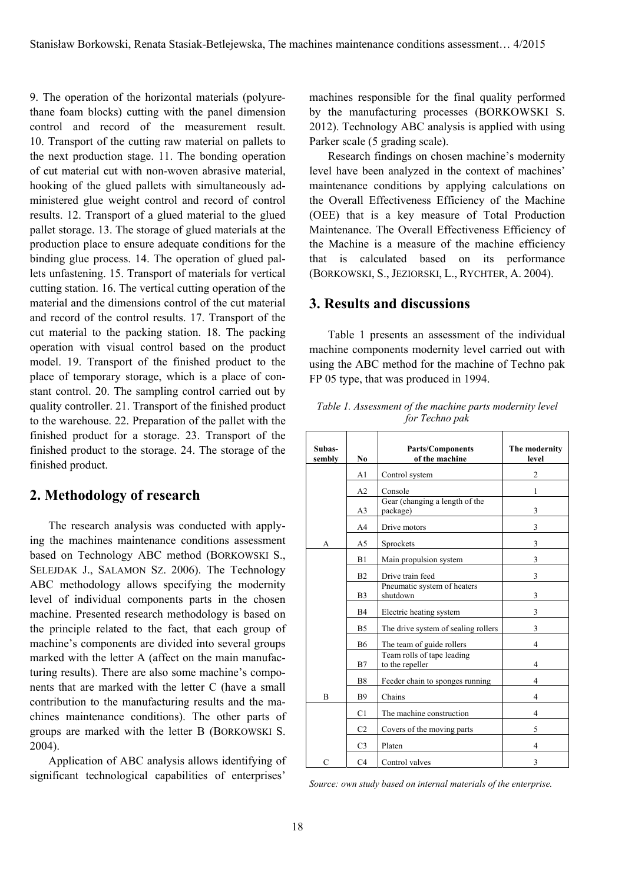9. The operation of the horizontal materials (polyurethane foam blocks) cutting with the panel dimension control and record of the measurement result. 10. Transport of the cutting raw material on pallets to the next production stage. 11. The bonding operation of cut material cut with non-woven abrasive material, hooking of the glued pallets with simultaneously administered glue weight control and record of control results. 12. Transport of a glued material to the glued pallet storage. 13. The storage of glued materials at the production place to ensure adequate conditions for the binding glue process. 14. The operation of glued pallets unfastening. 15. Transport of materials for vertical cutting station. 16. The vertical cutting operation of the material and the dimensions control of the cut material and record of the control results. 17. Transport of the cut material to the packing station. 18. The packing operation with visual control based on the product model. 19. Transport of the finished product to the place of temporary storage, which is a place of constant control. 20. The sampling control carried out by quality controller. 21. Transport of the finished product to the warehouse. 22. Preparation of the pallet with the finished product for a storage. 23. Transport of the finished product to the storage. 24. The storage of the finished product.

## **2. Methodology of research**

The research analysis was conducted with applying the machines maintenance conditions assessment based on Technology ABC method (BORKOWSKI S., SELEJDAK J., SALAMON SZ. 2006). The Technology ABC methodology allows specifying the modernity level of individual components parts in the chosen machine. Presented research methodology is based on the principle related to the fact, that each group of machine's components are divided into several groups marked with the letter A (affect on the main manufacturing results). There are also some machine's components that are marked with the letter C (have a small contribution to the manufacturing results and the machines maintenance conditions). The other parts of groups are marked with the letter B (BORKOWSKI S. 2004).

Application of ABC analysis allows identifying of significant technological capabilities of enterprises'

machines responsible for the final quality performed by the manufacturing processes (BORKOWSKI S. 2012). Technology ABC analysis is applied with using Parker scale (5 grading scale).

Research findings on chosen machine's modernity level have been analyzed in the context of machines' maintenance conditions by applying calculations on the Overall Effectiveness Efficiency of the Machine (OEE) that is a key measure of Total Production Maintenance. The Overall Effectiveness Efficiency of the Machine is a measure of the machine efficiency that is calculated based on its performance (BORKOWSKI, S., JEZIORSKI, L., RYCHTER, A. 2004).

## **3. Results and discussions**

Table 1 presents an assessment of the individual machine components modernity level carried out with using the ABC method for the machine of Techno pak FP 05 type, that was produced in 1994.

| Subas-<br>sembly | N <sub>0</sub> | <b>Parts/Components</b><br>of the machine     | The modernity<br>level   |
|------------------|----------------|-----------------------------------------------|--------------------------|
|                  | A1             | Control system                                | $\mathfrak{D}$           |
|                  | A <sub>2</sub> | Console                                       | 1                        |
|                  | A3             | Gear (changing a length of the<br>package)    | 3                        |
|                  | A4             | Drive motors                                  | 3                        |
| А                | A <sub>5</sub> | Sprockets                                     | 3                        |
|                  | B1             | Main propulsion system                        | 3                        |
|                  | B <sub>2</sub> | Drive train feed                              | 3                        |
|                  | B <sub>3</sub> | Pneumatic system of heaters<br>shutdown       | 3                        |
|                  | B4             | Electric heating system                       | 3                        |
|                  | B <sub>5</sub> | The drive system of sealing rollers           | 3                        |
|                  | <b>B6</b>      | The team of guide rollers                     | $\overline{4}$           |
|                  | B7             | Team rolls of tape leading<br>to the repeller | $\overline{\mathcal{A}}$ |
|                  | B <sub>8</sub> | Feeder chain to sponges running               | 4                        |
| B                | <b>B9</b>      | Chains                                        | $\overline{4}$           |
|                  | C1             | The machine construction                      | $\overline{4}$           |
|                  | C <sub>2</sub> | Covers of the moving parts                    | 5                        |
|                  | C <sub>3</sub> | Platen                                        | 4                        |
| $\overline{C}$   | C <sub>4</sub> | Control valves                                | 3                        |

*Table 1. Assessment of the machine parts modernity level for Techno pak* 

*Source: own study based on internal materials of the enterprise.*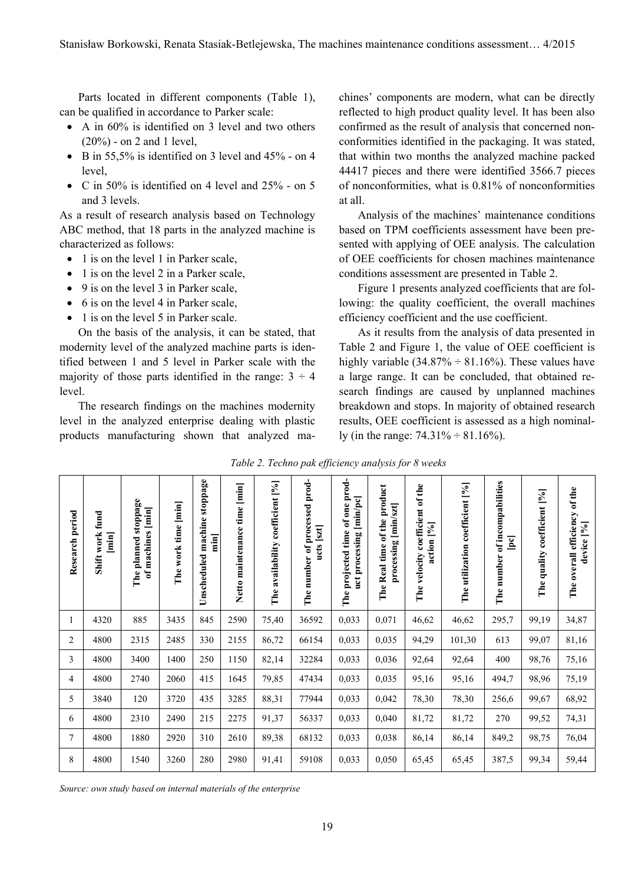Parts located in different components (Table 1), can be qualified in accordance to Parker scale:

- A in 60% is identified on 3 level and two others (20%) - on 2 and 1 level,
- $\bullet$  B in 55,5% is identified on 3 level and 45% on 4 level,
- C in 50% is identified on 4 level and  $25%$  on 5 and 3 levels.

As a result of research analysis based on Technology ABC method, that 18 parts in the analyzed machine is characterized as follows:

- 1 is on the level 1 in Parker scale,
- $\bullet$  1 is on the level 2 in a Parker scale,
- 9 is on the level 3 in Parker scale,
- 6 is on the level 4 in Parker scale,
- $\bullet$  1 is on the level 5 in Parker scale.

On the basis of the analysis, it can be stated, that modernity level of the analyzed machine parts is identified between 1 and 5 level in Parker scale with the majority of those parts identified in the range:  $3 \div 4$ level.

The research findings on the machines modernity level in the analyzed enterprise dealing with plastic products manufacturing shown that analyzed machines' components are modern, what can be directly reflected to high product quality level. It has been also confirmed as the result of analysis that concerned nonconformities identified in the packaging. It was stated, that within two months the analyzed machine packed 44417 pieces and there were identified 3566.7 pieces of nonconformities, what is 0.81% of nonconformities at all.

Analysis of the machines' maintenance conditions based on TPM coefficients assessment have been presented with applying of OEE analysis. The calculation of OEE coefficients for chosen machines maintenance conditions assessment are presented in Table 2.

Figure 1 presents analyzed coefficients that are following: the quality coefficient, the overall machines efficiency coefficient and the use coefficient.

As it results from the analysis of data presented in Table 2 and Figure 1, the value of OEE coefficient is highly variable  $(34.87\% \div 81.16\%)$ . These values have a large range. It can be concluded, that obtained research findings are caused by unplanned machines breakdown and stops. In majority of obtained research results, OEE coefficient is assessed as a high nominally (in the range:  $74.31\% \div 81.16\%$ ).

|  | Table 2. Techno pak efficiency analysis for 8 weeks |  |  |
|--|-----------------------------------------------------|--|--|
|  |                                                     |  |  |

| <b>Research period</b> | work fund<br>$\begin{bmatrix} \overline{min} \\ \overline{min} \end{bmatrix}$<br>Shift | stoppage<br>of machines [min]<br>planned<br>The | The work time [min] | stoppage<br>machine<br>min<br>Unscheduled | $\boxed{\min}$<br>Netto maintenance time | The availability coefficient [%] | prod-<br>The number of processed<br>ucts [szt] | of one prod-<br>[min/pc]<br>projected time<br>uct processing<br>The | product<br>$[\text{min/szt}]$<br>of the<br>processing<br>The Real time | The velocity coefficient of the<br>action [%] | The utilization coefficient [%] | of incompabilities<br>$\boxed{\mathbf{pc}}$<br>The number | coefficient [%]<br>quality<br>The | overall efficiency of the<br>device [%]<br>The i |
|------------------------|----------------------------------------------------------------------------------------|-------------------------------------------------|---------------------|-------------------------------------------|------------------------------------------|----------------------------------|------------------------------------------------|---------------------------------------------------------------------|------------------------------------------------------------------------|-----------------------------------------------|---------------------------------|-----------------------------------------------------------|-----------------------------------|--------------------------------------------------|
| 1                      | 4320                                                                                   | 885                                             | 3435                | 845                                       | 2590                                     | 75,40                            | 36592                                          | 0,033                                                               | 0,071                                                                  | 46,62                                         | 46,62                           | 295,7                                                     | 99,19                             | 34,87                                            |
| $\overline{2}$         | 4800                                                                                   | 2315                                            | 2485                | 330                                       | 2155                                     | 86,72                            | 66154                                          | 0,033                                                               | 0,035                                                                  | 94,29                                         | 101,30                          | 613                                                       | 99,07                             | 81,16                                            |
| 3                      | 4800                                                                                   | 3400                                            | 1400                | 250                                       | 1150                                     | 82,14                            | 32284                                          | 0,033                                                               | 0,036                                                                  | 92,64                                         | 92,64                           | 400                                                       | 98,76                             | 75,16                                            |
| 4                      | 4800                                                                                   | 2740                                            | 2060                | 415                                       | 1645                                     | 79,85                            | 47434                                          | 0,033                                                               | 0,035                                                                  | 95,16                                         | 95,16                           | 494,7                                                     | 98,96                             | 75,19                                            |
| 5                      | 3840                                                                                   | 120                                             | 3720                | 435                                       | 3285                                     | 88,31                            | 77944                                          | 0,033                                                               | 0,042                                                                  | 78,30                                         | 78,30                           | 256,6                                                     | 99,67                             | 68,92                                            |
| 6                      | 4800                                                                                   | 2310                                            | 2490                | 215                                       | 2275                                     | 91,37                            | 56337                                          | 0,033                                                               | 0,040                                                                  | 81,72                                         | 81,72                           | 270                                                       | 99,52                             | 74,31                                            |
| 7                      | 4800                                                                                   | 1880                                            | 2920                | 310                                       | 2610                                     | 89,38                            | 68132                                          | 0,033                                                               | 0,038                                                                  | 86,14                                         | 86,14                           | 849,2                                                     | 98,75                             | 76,04                                            |
| 8                      | 4800                                                                                   | 1540                                            | 3260                | 280                                       | 2980                                     | 91,41                            | 59108                                          | 0,033                                                               | 0,050                                                                  | 65,45                                         | 65,45                           | 387,5                                                     | 99,34                             | 59,44                                            |

*Source: own study based on internal materials of the enterprise*